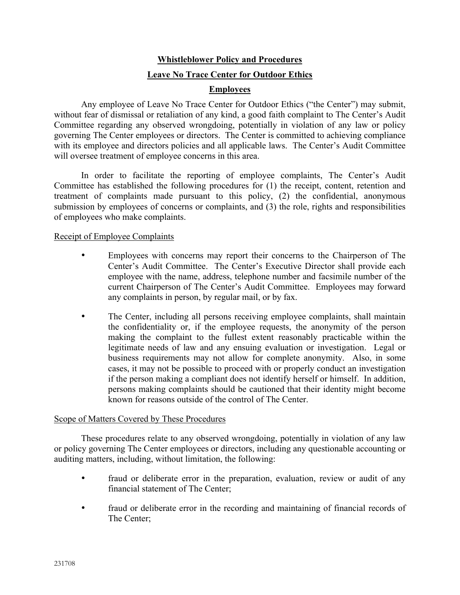# **Whistleblower Policy and Procedures Leave No Trace Center for Outdoor Ethics**

## **Employees**

Any employee of Leave No Trace Center for Outdoor Ethics ("the Center") may submit, without fear of dismissal or retaliation of any kind, a good faith complaint to The Center's Audit Committee regarding any observed wrongdoing, potentially in violation of any law or policy governing The Center employees or directors. The Center is committed to achieving compliance with its employee and directors policies and all applicable laws. The Center's Audit Committee will oversee treatment of employee concerns in this area.

In order to facilitate the reporting of employee complaints, The Center's Audit Committee has established the following procedures for (1) the receipt, content, retention and treatment of complaints made pursuant to this policy, (2) the confidential, anonymous submission by employees of concerns or complaints, and (3) the role, rights and responsibilities of employees who make complaints.

#### Receipt of Employee Complaints

- Employees with concerns may report their concerns to the Chairperson of The Center's Audit Committee. The Center's Executive Director shall provide each employee with the name, address, telephone number and facsimile number of the current Chairperson of The Center's Audit Committee. Employees may forward any complaints in person, by regular mail, or by fax.
- The Center, including all persons receiving employee complaints, shall maintain the confidentiality or, if the employee requests, the anonymity of the person making the complaint to the fullest extent reasonably practicable within the legitimate needs of law and any ensuing evaluation or investigation. Legal or business requirements may not allow for complete anonymity. Also, in some cases, it may not be possible to proceed with or properly conduct an investigation if the person making a compliant does not identify herself or himself. In addition, persons making complaints should be cautioned that their identity might become known for reasons outside of the control of The Center.

## Scope of Matters Covered by These Procedures

These procedures relate to any observed wrongdoing, potentially in violation of any law or policy governing The Center employees or directors, including any questionable accounting or auditing matters, including, without limitation, the following:

- fraud or deliberate error in the preparation, evaluation, review or audit of any financial statement of The Center;
- fraud or deliberate error in the recording and maintaining of financial records of The Center;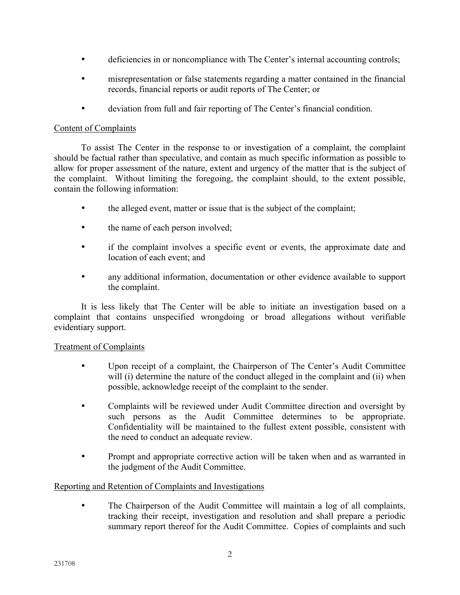- deficiencies in or noncompliance with The Center's internal accounting controls;
- misrepresentation or false statements regarding a matter contained in the financial records, financial reports or audit reports of The Center; or
- deviation from full and fair reporting of The Center's financial condition.

#### Content of Complaints

To assist The Center in the response to or investigation of a complaint, the complaint should be factual rather than speculative, and contain as much specific information as possible to allow for proper assessment of the nature, extent and urgency of the matter that is the subject of the complaint. Without limiting the foregoing, the complaint should, to the extent possible, contain the following information:

- the alleged event, matter or issue that is the subject of the complaint;
- the name of each person involved;
- if the complaint involves a specific event or events, the approximate date and location of each event; and
- any additional information, documentation or other evidence available to support the complaint.

It is less likely that The Center will be able to initiate an investigation based on a complaint that contains unspecified wrongdoing or broad allegations without verifiable evidentiary support.

## Treatment of Complaints

- Upon receipt of a complaint, the Chairperson of The Center's Audit Committee will (i) determine the nature of the conduct alleged in the complaint and (ii) when possible, acknowledge receipt of the complaint to the sender.
- Complaints will be reviewed under Audit Committee direction and oversight by such persons as the Audit Committee determines to be appropriate. Confidentiality will be maintained to the fullest extent possible, consistent with the need to conduct an adequate review.
- Prompt and appropriate corrective action will be taken when and as warranted in the judgment of the Audit Committee.

## Reporting and Retention of Complaints and Investigations

• The Chairperson of the Audit Committee will maintain a log of all complaints, tracking their receipt, investigation and resolution and shall prepare a periodic summary report thereof for the Audit Committee. Copies of complaints and such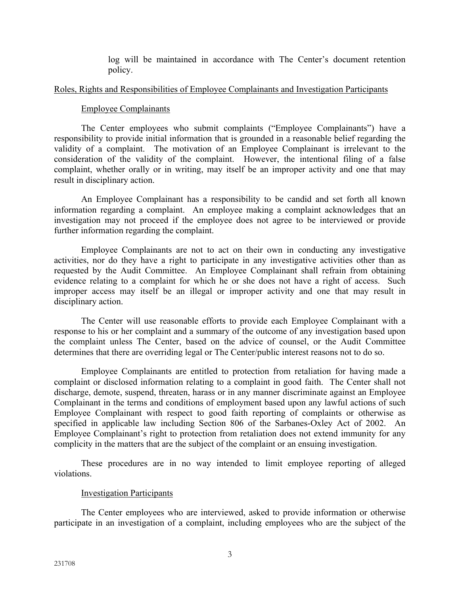log will be maintained in accordance with The Center's document retention policy.

#### Roles, Rights and Responsibilities of Employee Complainants and Investigation Participants

#### Employee Complainants

The Center employees who submit complaints ("Employee Complainants") have a responsibility to provide initial information that is grounded in a reasonable belief regarding the validity of a complaint. The motivation of an Employee Complainant is irrelevant to the consideration of the validity of the complaint. However, the intentional filing of a false complaint, whether orally or in writing, may itself be an improper activity and one that may result in disciplinary action.

An Employee Complainant has a responsibility to be candid and set forth all known information regarding a complaint. An employee making a complaint acknowledges that an investigation may not proceed if the employee does not agree to be interviewed or provide further information regarding the complaint.

Employee Complainants are not to act on their own in conducting any investigative activities, nor do they have a right to participate in any investigative activities other than as requested by the Audit Committee. An Employee Complainant shall refrain from obtaining evidence relating to a complaint for which he or she does not have a right of access. Such improper access may itself be an illegal or improper activity and one that may result in disciplinary action.

The Center will use reasonable efforts to provide each Employee Complainant with a response to his or her complaint and a summary of the outcome of any investigation based upon the complaint unless The Center, based on the advice of counsel, or the Audit Committee determines that there are overriding legal or The Center/public interest reasons not to do so.

Employee Complainants are entitled to protection from retaliation for having made a complaint or disclosed information relating to a complaint in good faith. The Center shall not discharge, demote, suspend, threaten, harass or in any manner discriminate against an Employee Complainant in the terms and conditions of employment based upon any lawful actions of such Employee Complainant with respect to good faith reporting of complaints or otherwise as specified in applicable law including Section 806 of the Sarbanes-Oxley Act of 2002. An Employee Complainant's right to protection from retaliation does not extend immunity for any complicity in the matters that are the subject of the complaint or an ensuing investigation.

These procedures are in no way intended to limit employee reporting of alleged violations.

#### Investigation Participants

The Center employees who are interviewed, asked to provide information or otherwise participate in an investigation of a complaint, including employees who are the subject of the